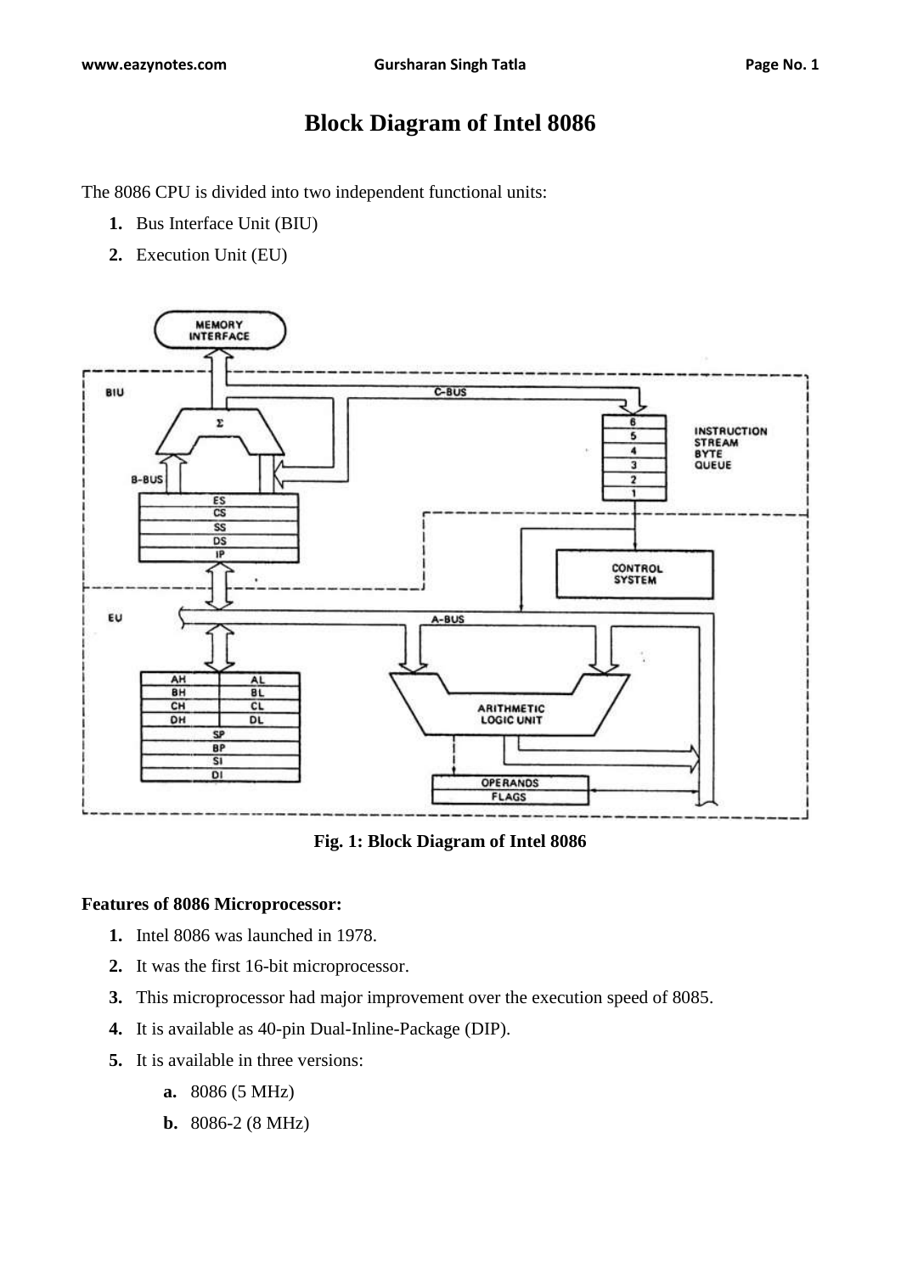# **Block Diagram of Intel 8086**

The 8086 CPU is divided into two independent functional units:

- **1.** Bus Interface Unit (BIU)
- **2.** Execution Unit (EU)



**Fig. 1: Block Diagram of Intel 8086**

#### **Features of 8086 Microprocessor:**

- **1.** Intel 8086 was launched in 1978.
- **2.** It was the first 16-bit microprocessor.
- **3.** This microprocessor had major improvement over the execution speed of 8085.
- **4.** It is available as 40-pin Dual-Inline-Package (DIP).
- **5.** It is available in three versions:
	- **a.** 8086 (5 MHz)
	- **b.** 8086-2 (8 MHz)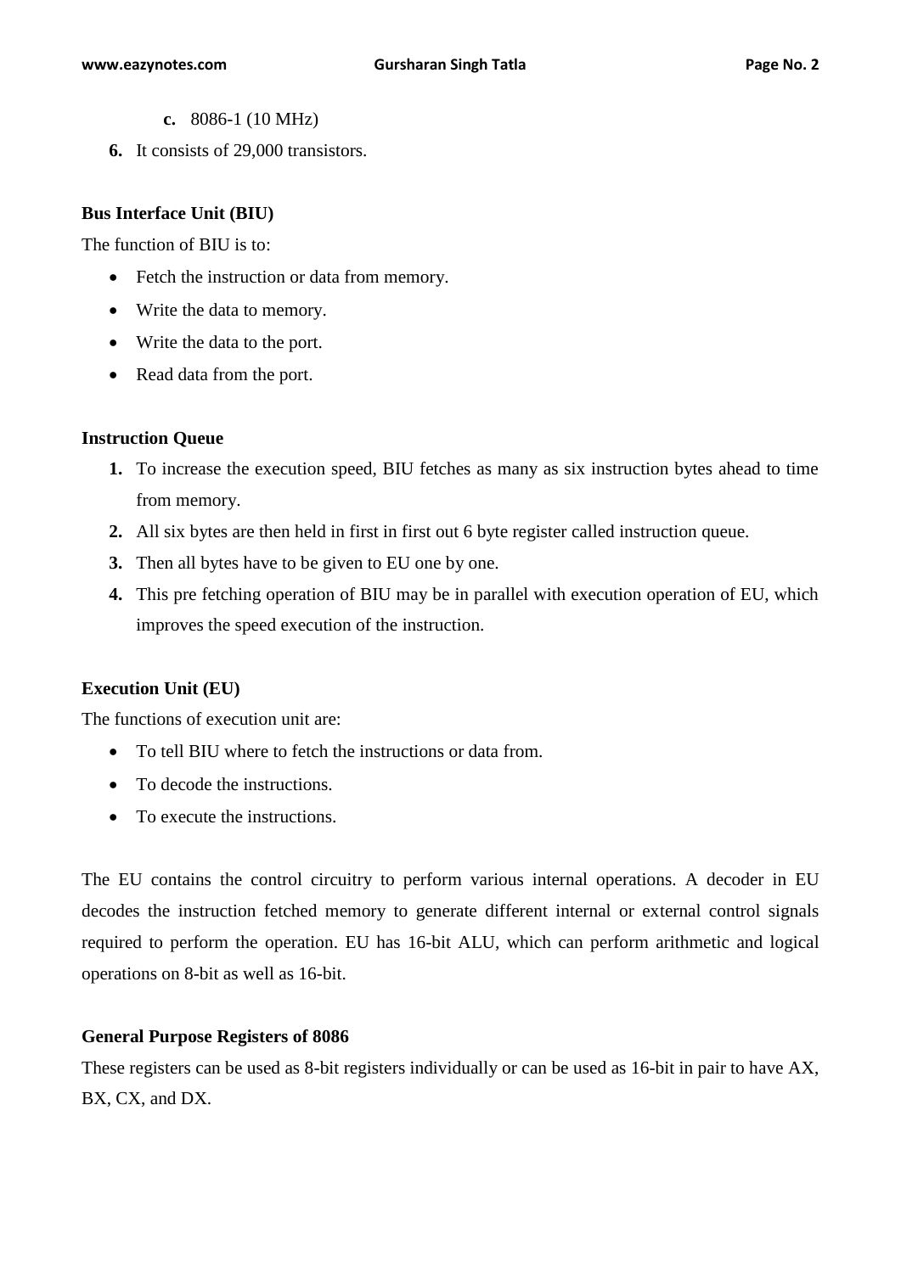- **c.** 8086-1 (10 MHz)
- **6.** It consists of 29,000 transistors.

#### **Bus Interface Unit (BIU)**

The function of BIU is to:

- Fetch the instruction or data from memory.
- Write the data to memory.
- Write the data to the port.
- Read data from the port.

#### **Instruction Queue**

- **1.** To increase the execution speed, BIU fetches as many as six instruction bytes ahead to time from memory.
- **2.** All six bytes are then held in first in first out 6 byte register called instruction queue.
- **3.** Then all bytes have to be given to EU one by one.
- **4.** This pre fetching operation of BIU may be in parallel with execution operation of EU, which improves the speed execution of the instruction.

#### **Execution Unit (EU)**

The functions of execution unit are:

- To tell BIU where to fetch the instructions or data from.
- To decode the instructions.
- To execute the instructions.

The EU contains the control circuitry to perform various internal operations. A decoder in EU decodes the instruction fetched memory to generate different internal or external control signals required to perform the operation. EU has 16-bit ALU, which can perform arithmetic and logical operations on 8-bit as well as 16-bit.

#### **General Purpose Registers of 8086**

These registers can be used as 8-bit registers individually or can be used as 16-bit in pair to have AX, BX, CX, and DX.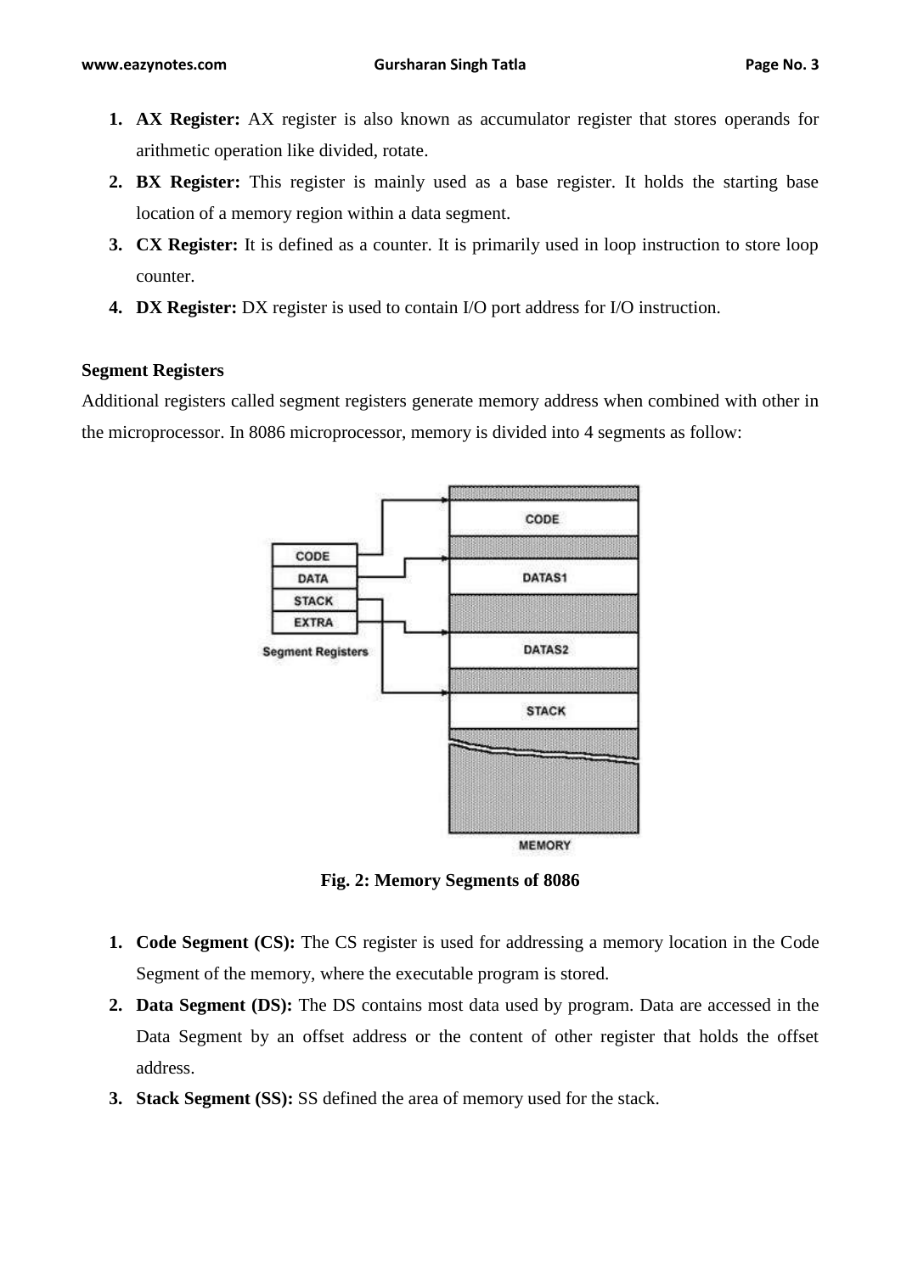- **1. AX Register:** AX register is also known as accumulator register that stores operands for arithmetic operation like divided, rotate.
- **2. BX Register:** This register is mainly used as a base register. It holds the starting base location of a memory region within a data segment.
- **3. CX Register:** It is defined as a counter. It is primarily used in loop instruction to store loop counter.
- **4. DX Register:** DX register is used to contain I/O port address for I/O instruction.

### **Segment Registers**

Additional registers called segment registers generate memory address when combined with other in the microprocessor. In 8086 microprocessor, memory is divided into 4 segments as follow:



**Fig. 2: Memory Segments of 8086**

- **1. Code Segment (CS):** The CS register is used for addressing a memory location in the Code Segment of the memory, where the executable program is stored.
- **2. Data Segment (DS):** The DS contains most data used by program. Data are accessed in the Data Segment by an offset address or the content of other register that holds the offset address.
- **3. Stack Segment (SS):** SS defined the area of memory used for the stack.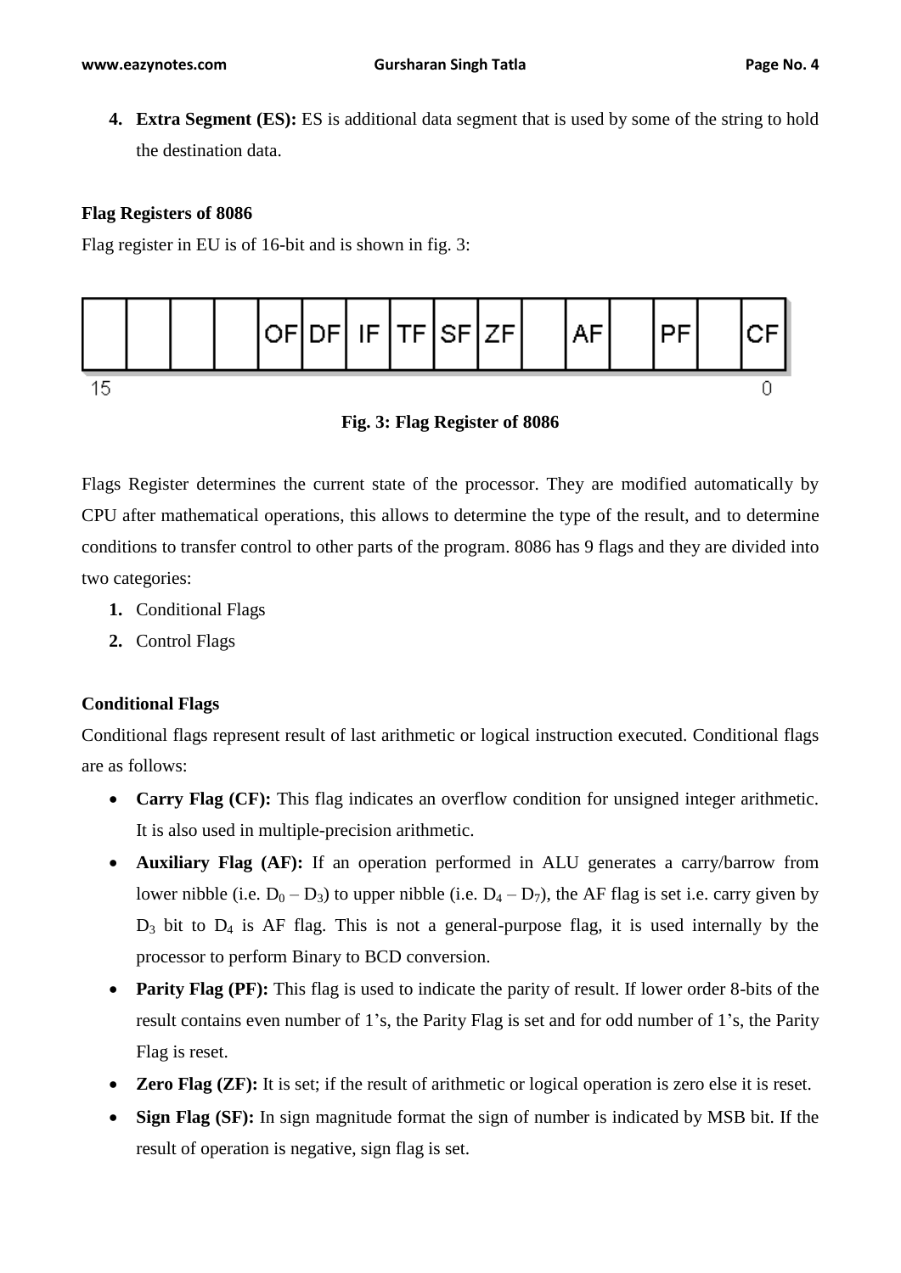**4. Extra Segment (ES):** ES is additional data segment that is used by some of the string to hold the destination data.

# **Flag Registers of 8086**

Flag register in EU is of 16-bit and is shown in fig. 3:



**Fig. 3: Flag Register of 8086**

Flags Register determines the current state of the processor. They are modified automatically by CPU after mathematical operations, this allows to determine the type of the result, and to determine conditions to transfer control to other parts of the program. 8086 has 9 flags and they are divided into two categories:

- **1.** Conditional Flags
- **2.** Control Flags

# **Conditional Flags**

Conditional flags represent result of last arithmetic or logical instruction executed. Conditional flags are as follows:

- **Carry Flag (CF):** This flag indicates an overflow condition for unsigned integer arithmetic. It is also used in multiple-precision arithmetic.
- **Auxiliary Flag (AF):** If an operation performed in ALU generates a carry/barrow from lower nibble (i.e.  $D_0 - D_3$ ) to upper nibble (i.e.  $D_4 - D_7$ ), the AF flag is set i.e. carry given by  $D_3$  bit to  $D_4$  is AF flag. This is not a general-purpose flag, it is used internally by the processor to perform Binary to BCD conversion.
- **Parity Flag (PF):** This flag is used to indicate the parity of result. If lower order 8-bits of the result contains even number of 1's, the Parity Flag is set and for odd number of 1's, the Parity Flag is reset.
- **Zero Flag (ZF):** It is set; if the result of arithmetic or logical operation is zero else it is reset.
- **Sign Flag (SF):** In sign magnitude format the sign of number is indicated by MSB bit. If the result of operation is negative, sign flag is set.